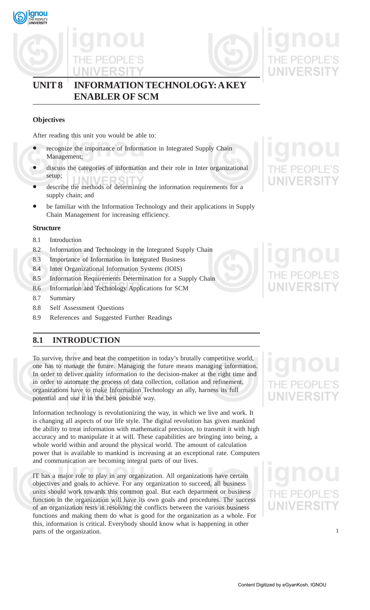





## **UNIT 8 INFORMATION TECHNOLOGY: A KEY ENABLER OF SCM**

## **Objectives**

After reading this unit you would be able to:

- recognize the importance of Information in Integrated Supply Chain Management;
- discuss the categories of information and their role in Inter organizational setup;
- describe the methods of determining the information requirements for a supply chain; and
- be familiar with the Information Technology and their applications in Supply Chain Management for increasing efficiency.

## **Structure**

- 8.1 Introduction
- 8.2 Information and Technology in the Integrated Supply Chain
- 8.3 Importance of Information in Integrated Business
- 8.4 Inter Organizational Information Systems (IOIS)
- 8.5 Information Requirements Determination for a Supply Chain
- 8.6 Information and Technology Applications for SCM
- 8.7 Summary
- 8.8 Self Assessment Questions
- 8.9 References and Suggested Further Readings

## **8.1 INTRODUCTION**

To survive, thrive and beat the competition in today's brutally competitive world, one has to manage the future. Managing the future means managing information. In order to deliver quality information to the decision-maker at the right time and in order to automate the process of data collection, collation and refinement, organizations have to make Information Technology an ally, harness its full potential and use it in the best possible way.

Information technology is revolutionizing the way, in which we live and work. It is changing all aspects of our life style. The digital revolution has given mankind the ability to treat information with mathematical precision, to transmit it with high accuracy and to manipulate it at will. These capabilities are bringing into being, a whole world within and around the physical world. The amount of calculation power that is available to mankind is increasing at an exceptional rate. Computers and communication are becoming integral parts of our lives.

IT has a major role to play in any organization. All organizations have certain objectives and goals to achieve. For any organization to succeed, all business units should work towards this common goal. But each department or business function in the organization will have its own goals and procedures. The success of an organization rests in resolving the conflicts between the various business functions and making them do what is good for the organization as a whole. For this, information is critical. Everybody should know what is happening in other parts of the organization.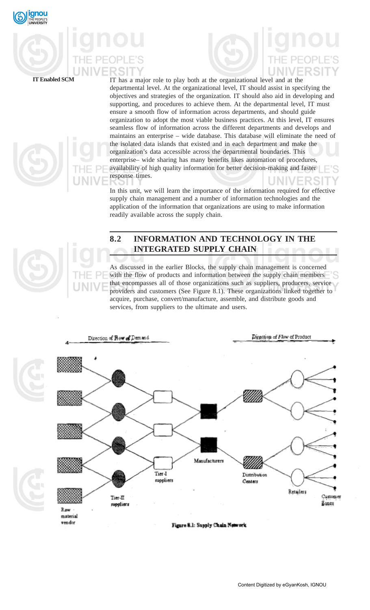

**IT Enabled SCM** IT has a major role to play both at the organizational level and at the departmental level. At the organizational level, IT should assist in specifying the objectives and strategies of the organization. IT should also aid in developing and supporting, and procedures to achieve them. At the departmental level, IT must ensure a smooth flow of information across departments, and should guide organization to adopt the most viable business practices. At this level, IT ensures seamless flow of information across the different departments and develops and maintains an enterprise – wide database. This database will eliminate the need of the isolated data islands that existed and in each department and make the organization's data accessible across the departmental boundaries. This enterprise– wide sharing has many benefits likes automation of procedures, availability of high quality information for better decision-making and faster response times. JNIVER ਾ

> In this unit, we will learn the importance of the information required for effective supply chain management and a number of information technologies and the application of the information that organizations are using to make information readily available across the supply chain.

## **8.2 INFORMATION AND TECHNOLOGY IN THE INTEGRATED SUPPLY CHAIN**

As discussed in the earlier Blocks, the supply chain management is concerned with the flow of products and information between the supply chain members that encompasses all of those organizations such as suppliers, producers, service providers and customers (See Figure 8.1). These organizations linked together to acquire, purchase, convert/manufacture, assemble, and distribute goods and services, from suppliers to the ultimate and users.

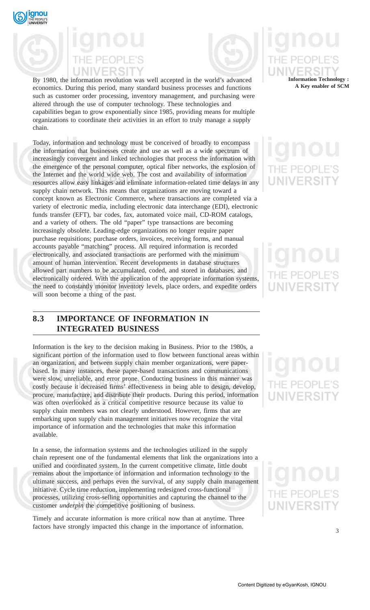



By 1980, the information revolution was well accepted in the world's advanced **Information Technology :** economics. During this period, many standard business processes and functions such as customer order processing, inventory management, and purchasing were altered through the use of computer technology. These technologies and capabilities began to grow exponentially since 1985, providing means for multiple organizations to coordinate their activities in an effort to truly manage a supply chain.

Today, information and technology must be conceived of broadly to encompass the information that businesses create and use as well as a wide spectrum of increasingly convergent and linked technologies that process the information with the emergence of the personal computer, optical fiber networks, the explosion of the Internet and the world wide web. The cost and availability of information resources allow easy linkages and eliminate information-related time delays in any supply chain network. This means that organizations are moving toward a concept known as Electronic Commerce, where transactions are completed via a variety of electronic media, including electronic data interchange (EDI), electronic funds transfer (EFT), bar codes, fax, automated voice mail, CD-ROM catalogs, and a variety of others. The old "paper" type transactions are becoming increasingly obsolete. Leading-edge organizations no longer require paper purchase requisitions; purchase orders, invoices, receiving forms, and manual accounts payable "matching" process. All required information is recorded electronically, and associated transactions are performed with the minimum amount of human intervention. Recent developments in database structures allowed part numbers to be accumulated, coded, and stored in databases, and electronically ordered. With the application of the appropriate information systems, the need to constantly monitor inventory levels, place orders, and expedite orders will soon become a thing of the past.

## **8.3 IMPORTANCE OF INFORMATION IN INTEGRATED BUSINESS**

Information is the key to the decision making in Business. Prior to the 1980s, a significant portion of the information used to flow between functional areas within an organization, and between supply chain member organizations, were paperbased. In many instances, these paper-based transactions and communications were slow, unreliable, and error prone. Conducting business in this manner was costly because it decreased firms' effectiveness in being able to design, develop, procure, manufacture, and distribute their products. During this period, information was often overlooked as a critical competitive resource because its value to supply chain members was not clearly understood. However, firms that are embarking upon supply chain management initiatives now recognize the vital importance of information and the technologies that make this information available.

In a sense, the information systems and the technologies utilized in the supply chain represent one of the fundamental elements that link the organizations into a unified and coordinated system. In the current competitive climate, little doubt remains about the importance of information and information technology to the ultimate success, and perhaps even the survival, of any supply chain management initiative. Cycle time reduction, implementing redesigned cross-functional processes, utilizing cross-selling opportunities and capturing the channel to the customer *underpin* the competitive positioning of business.

Timely and accurate information is more critical now than at anytime. Three factors have strongly impacted this change in the importance of information.

# **A Key enabler of SCM**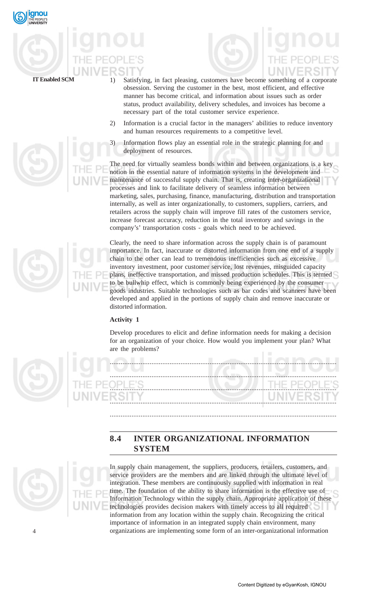

- **IT Enabled SCM** 1) Satisfying, in fact pleasing, customers have become something of a corporate obsession. Serving the customer in the best, most efficient, and effective manner has become critical, and information about issues such as order status, product availability, delivery schedules, and invoices has become a necessary part of the total customer service experience.
	- 2) Information is a crucial factor in the managers' abilities to reduce inventory and human resources requirements to a competitive level.
	- 3) Information flows play an essential role in the strategic planning for and deployment of resources.

The need for virtually seamless bonds within and between organizations is a key notion in the essential nature of information systems in the development and maintenance of successful supply chain. That is, creating inter-organizational processes and link to facilitate delivery of seamless information between marketing, sales, purchasing, finance, manufacturing, distribution and transportation internally, as well as inter organizationally, to customers, suppliers, carriers, and retailers across the supply chain will improve fill rates of the customers service, increase forecast accuracy, reduction in the total inventory and savings in the company's' transportation costs - goals which need to be achieved.

Clearly, the need to share information across the supply chain is of paramount importance. In fact, inaccurate or distorted information from one end of a supply chain to the other can lead to tremendous inefficiencies such as excessive inventory investment, poor customer service, lost revenues, misguided capacity plans, ineffective transportation, and missed production schedules. This is termed to be bullwhip effect, which is commonly being experienced by the consumer goods industries. Suitable technologies such as bar codes and scanners have been developed and applied in the portions of supply chain and remove inaccurate or distorted information.

## **Activity 1**

Develop procedures to elicit and define information needs for making a decision for an organization of your choice. How would you implement your plan? What are the problems?

.............................................................................................................................



............................................................................................................................. ............................................................................................................................. ............................................................................................................................. .............................................................................................................................

## **8.4 INTER ORGANIZATIONAL INFORMATION SYSTEM**



 $\overline{A}$ 

In supply chain management, the suppliers, producers, retailers, customers, and service providers are the members and are linked through the ultimate level of integration. These members are continuously supplied with information in real time. The foundation of the ability to share information is the effective use of Information Technology within the supply chain. Appropriate application of these technologies provides decision makers with timely access to all required information from any location within the supply chain. Recognizing the critical importance of information in an integrated supply chain environment, many organizations are implementing some form of an inter-organizational information

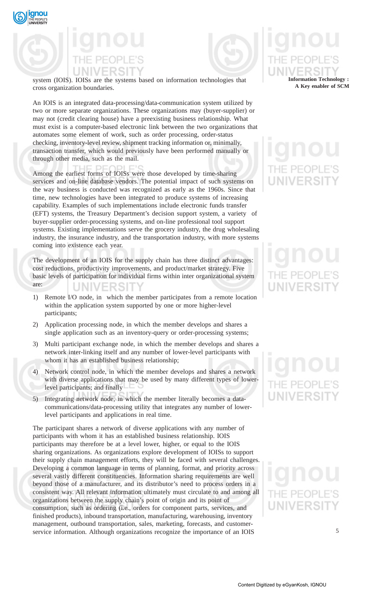



system (IOIS). IOISs are the systems based on information technologies that cross organization boundaries.

An IOIS is an integrated data-processing/data-communication system utilized by two or more separate organizations. These organizations may (buyer-supplier) or may not (credit clearing house) have a preexisting business relationship. What must exist is a computer-based electronic link between the two organizations that automates some element of work, such as order processing, order-status checking, inventory-level review, shipment tracking information or, minimally, transaction transfer, which would previously have been performed manually or through other media, such as the mail.

Among the earliest forms of IOISs were those developed by time-sharing services and on-line database vendors. The potential impact of such systems on the way business is conducted was recognized as early as the 1960s. Since that time, new technologies have been integrated to produce systems of increasing capability. Examples of such implementations include electronic funds transfer (EFT) systems, the Treasury Department's decision support system, a variety of buyer-supplier order-processing systems, and on-line professional tool support systems. Existing implementations serve the grocery industry, the drug wholesaling industry, the insurance industry, and the transportation industry, with more systems coming into existence each year.

The development of an IOIS for the supply chain has three distinct advantages: cost reductions, productivity improvements, and product/market strategy. Five basic levels of participation for individual firms within inter organizational system are: JNIVERSIT

- 1) Remote I/O node, in which the member participates from a remote location within the application system supported by one or more higher-level participants;
- 2) Application processing node, in which the member develops and shares a single application such as an inventory-query or order-processing systems;
- 3) Multi participant exchange node, in which the member develops and shares a network inter-linking itself and any number of lower-level participants with whom it has an established business relationship;
- 4) Network control node, in which the member develops and shares a network with diverse applications that may be used by many different types of lowerlevel participants; and finally
- 5) Integrating network node, in which the member literally becomes a datacommunications/data-processing utility that integrates any number of lowerlevel participants and applications in real time.

The participant shares a network of diverse applications with any number of participants with whom it has an established business relationship. IOIS participants may therefore be at a level lower, higher, or equal to the IOIS sharing organizations. As organizations explore development of IOISs to support their supply chain management efforts, they will be faced with several challenges. Developing a common language in terms of planning, format, and priority across several vastly different constituencies. Information sharing requirements are well beyond those of a manufacturer, and its distributor's need to process orders in a consistent way. All relevant information ultimately must circulate to and among all organizations between the supply chain's point of origin and its point of consumption, such as ordering (i.e., orders for component parts, services, and finished products), inbound transportation, manufacturing, warehousing, inventory management, outbound transportation, sales, marketing, forecasts, and customerservice information. Although organizations recognize the importance of an IOIS

## **Information Technology : A Key enabler of SCM**

# UNIVERSI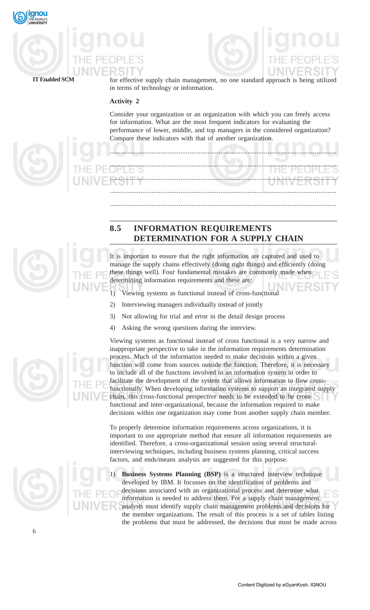



**IT Enabled SCM** for effective supply chain management, no one standard approach is being utilized in terms of technology or information.

## **Activity 2**

Consider your organization or an organization with which you can freely access for information. What are the most frequent indicators for evaluating the performance of lower, middle, and top managers in the considered organization? Compare these indicators with that of another organization.

.............................................................................................................................

.............................................................................................................................

............................................................................................................................. ............................................................................................................................. .............................................................................................................................



## **8.5 INFORMATION REQUIREMENTS DETERMINATION FOR A SUPPLY CHAIN**

It is important to ensure that the right information are captured and used to manage the supply chains effectively (doing right things) and efficiently (doing these things well). Four fundamental mistakes are commonly made when determining information requirements and these are:

- 1) Viewing systems as functional instead of cross-functional
- 2) Interviewing managers individually instead of jointly
- 3) Not allowing for trial and error in the detail design process
- 4) Asking the wrong questions during the interview.



Viewing systems as functional instead of cross functional is a very narrow and inappropriate perspective to take in the information requirements determination process. Much of the information needed to make decisions within a given function will come from sources outside the function. Therefore, it is necessary to include all of the functions involved in an information system in order to facilitate the development of the system that allows information to flow crossfunctionally. When developing information systems to support an integrated supply chain, this cross-functional perspective needs to be extended to be crossfunctional and inter-organizational, because the information required to make decisions within one organization may come from another supply chain member.

To properly determine information requirements across organizations, it is important to use appropriate method that ensure all information requirements are identified. Therefore, a cross-organizational session using several structuralinterviewing techniques, including business systems planning, critical success factors, and ends/means analysis are suggested for this purpose.

1) **Business Systems Planning (BSP)** is a structured interview technique developed by IBM. It focusses on the identification of problems and decisions associated with an organizational process and determine what information is needed to address them. For a supply chain management, analysts must identify supply chain management problems and decisions for the member organizations. The result of this process is a set of tables listing the problems that must be addressed, the decisions that must be made across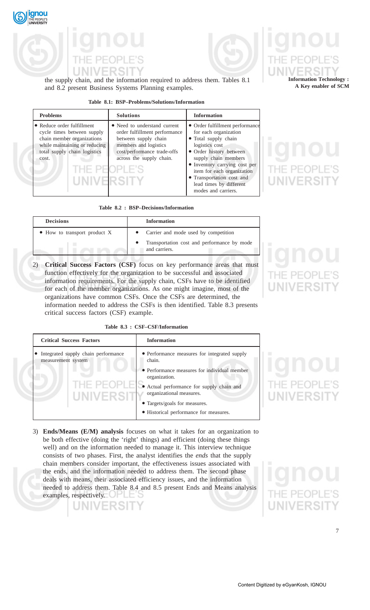



## the supply chain, and the information required to address them. Tables 8.1 and 8.2 present Business Systems Planning examples.

### **Table 8.1: BSP–Problems/Solutions/Information**

| <b>Problems</b>                                                                                                                                                                            | <b>Solutions</b>                                                                                                                                                          | <b>Information</b>                                                                                                                                                                                                                                                                                  |
|--------------------------------------------------------------------------------------------------------------------------------------------------------------------------------------------|---------------------------------------------------------------------------------------------------------------------------------------------------------------------------|-----------------------------------------------------------------------------------------------------------------------------------------------------------------------------------------------------------------------------------------------------------------------------------------------------|
| • Reduce order fulfillment<br>cycle times between supply<br>chain member organizations<br>while maintaining or reducing<br>total supply chain logistics<br>cost.<br>THE PEOPI<br>UNIVERSIT | • Need to understand current<br>order fulfillment performance<br>between supply chain<br>members and logistics<br>cost/performance trade-offs<br>across the supply chain. | • Order fulfillment performance<br>for each organization<br>• Total supply chain<br>logistics cost<br>• Order history between<br>supply chain members<br>• Inventory carrying cost per<br>item for each organization<br>• Transportation cost and<br>lead times by different<br>modes and carriers. |

### **Table 8.2 : BSP–Decisions/Information**

| <b>Decisions</b>                     | <b>Information</b>                                           |
|--------------------------------------|--------------------------------------------------------------|
| $\bullet$ How to transport product X | • Carrier and mode used by competition                       |
|                                      | Transportation cost and performance by mode<br>and carriers. |
|                                      |                                                              |

2) **Critical Success Factors (CSF)** focus on key performance areas that must function effectively for the organization to be successful and associated information requirements. For the supply chain, CSFs have to be identified for each of the member organizations. As one might imagine, most of the organizations have common CSFs. Once the CSFs are determined, the information needed to address the CSFs is then identified. Table 8.3 presents critical success factors (CSF) example.

**Table 8.3 : CSF–CSF/Information**

| <b>Critical Success Factors</b>                           | <b>Information</b>                                                                                                                                                                                                |
|-----------------------------------------------------------|-------------------------------------------------------------------------------------------------------------------------------------------------------------------------------------------------------------------|
| Integrated supply chain performance<br>measurement system | • Performance measures for integrated supply<br>chain.                                                                                                                                                            |
| THE PEOPLE<br>UNIVERSIT                                   | • Performance measures for individual member<br>organization.<br>• Actual performance for supply chain and<br>organizational measures.<br>• Targets/goals for measures.<br>• Historical performance for measures. |

3) **Ends/Means (E/M) analysis** focuses on what it takes for an organization to be both effective (doing the 'right' things) and efficient (doing these things well) and on the information needed to manage it. This interview technique consists of two phases. First, the analyst identifies the *ends* that the supply chain members consider important, the effectiveness issues associated with the ends, and the information needed to address them. The second phase deals with means, their associated efficiency issues, and the information needed to address them. Table 8.4 and 8.5 present Ends and Means analysis examples, respectively. JН

**Information Technology : A Key enabler of SCM**

**JNIVERSIT** 

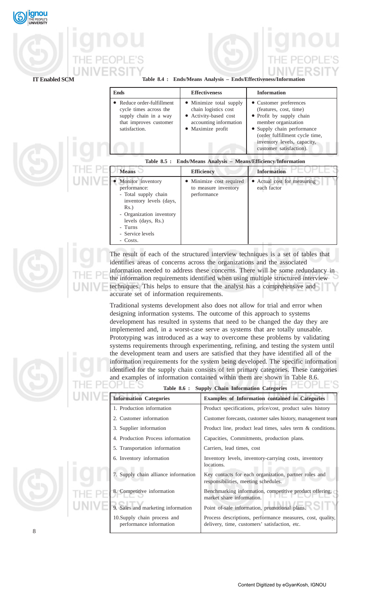

| <b>IT Enabled SCM</b> |  |
|-----------------------|--|
|-----------------------|--|

### Table 8.4 : Ends/Means Analysis – Ends/Effectiveness/Information

|                                                                | <b>Ends</b>                                                                                                                                                                      | <b>Effectiveness</b>                                                                                                             | <b>Information</b>                                                                                                                                                                                                            |
|----------------------------------------------------------------|----------------------------------------------------------------------------------------------------------------------------------------------------------------------------------|----------------------------------------------------------------------------------------------------------------------------------|-------------------------------------------------------------------------------------------------------------------------------------------------------------------------------------------------------------------------------|
|                                                                | Reduce order-fulfillment<br>cycle times across the<br>supply chain in a way<br>that improves customer<br>satisfaction.                                                           | • Minimize total supply<br>chain logistics cost<br>Activity-based cost<br>accounting information<br>Maximize profit<br>$\bullet$ | • Customer preferences<br>(features, cost, time)<br>• Profit by supply chain<br>member organization<br>• Supply chain performance<br>(order fulfillment cycle time,<br>inventory levels, capacity,<br>customer satisfaction). |
| Table 8.5 : Ends/Means Analysis - Means/Efficiency/Information |                                                                                                                                                                                  |                                                                                                                                  |                                                                                                                                                                                                                               |
|                                                                | <b>Means</b>                                                                                                                                                                     | <b>Efficiency</b>                                                                                                                | <b>Information</b>                                                                                                                                                                                                            |
|                                                                | Monitor inventory<br>performance:<br>- Total supply chain<br>inventory levels (days,<br>$Rs.$ )<br>- Organization inventory<br>levels (days, Rs.)<br>- Turns<br>- Service levels | • Minimize cost required<br>to measure inventory<br>performance                                                                  | • Actual cost for measuring<br>each factor                                                                                                                                                                                    |

The result of each of the structured interview techniques is a set of tables that identifies areas of concerns across the organizations and the associated information needed to address these concerns. There will be some redundancy in the information requirements identified when using multiple structured interview techniques. This helps to ensure that the analyst has a comprehensive and accurate set of information requirements.

Traditional systems development also does not allow for trial and error when designing information systems. The outcome of this approach to systems development has resulted in systems that need to be changed the day they are implemented and, in a worst-case serve as systems that are totally unusable. Prototyping was introduced as a way to overcome these problems by validating systems requirements through experimenting, refining, and testing the system until the development team and users are satisfied that they have identified all of the information requirements for the system being developed. The specific information identified for the supply chain consists of ten primary categories. These categories and examples of information contained within them are shown in Table 8.6.



| and examples of information contained within them are shown in Table 8.6. |                                                                                                             |  |
|---------------------------------------------------------------------------|-------------------------------------------------------------------------------------------------------------|--|
| <b>Supply Chain Information Categories</b><br><b>Table 8.6 :</b>          |                                                                                                             |  |
| <b>Information Categories</b>                                             | <b>Examples of Information contained in Categories</b>                                                      |  |
| 1. Production information                                                 | Product specifications, price/cost, product sales history                                                   |  |
| 2. Customer information                                                   | Customer forecasts, customer sales history, management team                                                 |  |
| 3. Supplier information                                                   | Product line, product lead times, sales term $\&$ conditions.                                               |  |
| 4. Production Process information                                         | Capacities, Commitments, production plans.                                                                  |  |
| 5. Transportation information                                             | Carriers, lead times, cost                                                                                  |  |
| 6. Inventory information                                                  | Inventory levels, inventory-carrying costs, inventory<br>locations.                                         |  |
| 7. Supply chain alliance information                                      | Key contacts for each organization, partner roles and<br>responsibilities, meeting schedules.               |  |
| 8. Competitive information                                                | Benchmarking information, competitive product offering,<br>market share information.                        |  |
| 9. Sales and marketing information                                        | Point of-sale information, promotional plans.                                                               |  |
| 10. Supply chain process and<br>performance information                   | Process descriptions, performance measures, cost, quality,<br>delivery, time, customers' satisfaction, etc. |  |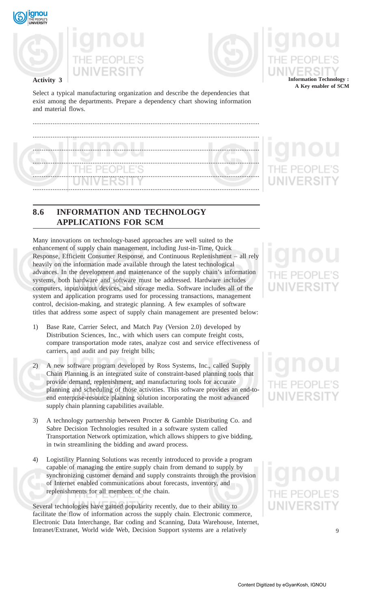

**Activity 3**





Select a typical manufacturing organization and describe the dependencies that exist among the departments. Prepare a dependency chart showing information and material flows.

| THE PEOPLE'S |  |
|--------------|--|
| VERSIIY      |  |
|              |  |

## **8.6 INFORMATION AND TECHNOLOGY APPLICATIONS FOR SCM**

Many innovations on technology-based approaches are well suited to the enhancement of supply chain management, including Just-in-Time, Quick Response, Efficient Consumer Response, and Continuous Replenishment – all rely heavily on the information made available through the latest technological advances. In the development and maintenance of the supply chain's information systems, both hardware and software must be addressed. Hardware includes computers, input/output devices, and storage media. Software includes all of the system and application programs used for processing transactions, management control, decision-making, and strategic planning. A few examples of software titles that address some aspect of supply chain management are presented below:

- 1) Base Rate, Carrier Select, and Match Pay (Version 2.0) developed by Distribution Sciences, Inc., with which users can compute freight costs, compare transportation mode rates, analyze cost and service effectiveness of carriers, and audit and pay freight bills;
- 2) A new software program developed by Ross Systems, Inc., called Supply Chain Planning is an integrated suite of constraint-based planning tools that provide demand, replenishment, and manufacturing tools for accurate planning and scheduling of those activities. This software provides an end-toend enterprise-resource planning solution incorporating the most advanced supply chain planning capabilities available.
- 3) A technology partnership between Procter & Gamble Distributing Co. and Sabre Decision Technologies resulted in a software system called Transportation Network optimization, which allows shippers to give bidding, in twin streamlining the bidding and award process.
- 4) Logistility Planning Solutions was recently introduced to provide a program capable of managing the entire supply chain from demand to supply by synchronizing customer demand and supply constraints through the provision of Internet enabled communications about forecasts, inventory, and replenishments for all members of the chain.

Several technologies have gained popularity recently, due to their ability to facilitate the flow of information across the supply chain. Electronic commerce, Electronic Data Interchange, Bar coding and Scanning, Data Warehouse, Internet, Intranet/Extranet, World wide Web, Decision Support systems are a relatively

**Information Technology : A Key enabler of SCM**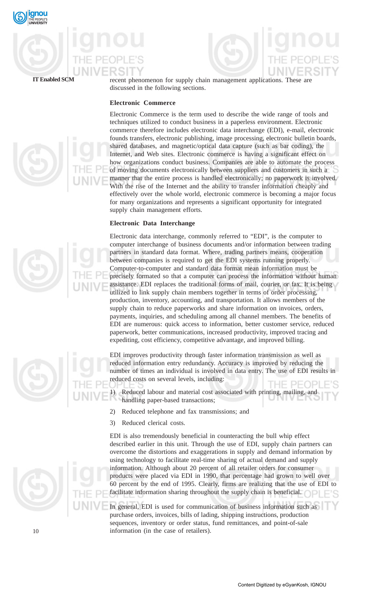



**IT Enabled SCM** recent phenomenon for supply chain management applications. These are discussed in the following sections.

## **Electronic Commerce**

Electronic Commerce is the term used to describe the wide range of tools and techniques utilized to conduct business in a paperless environment. Electronic commerce therefore includes electronic data interchange (EDI), e-mail, electronic founds transfers, electronic publishing, image processing, electronic bulletin boards, shared databases, and magnetic/optical data capture (such as bar coding), the Internet, and Web sites. Electronic commerce is having a significant effect on how organizations conduct business. Companies are able to automate the process of moving documents electronically between suppliers and customers in such a manner that the entire process is handled electronically; no paperwork is involved. With the rise of the Internet and the ability to transfer information cheaply and effectively over the whole world, electronic commerce is becoming a major focus for many organizations and represents a significant opportunity for integrated supply chain management efforts.

### **Electronic Data Interchange**

Electronic data interchange, commonly referred to "EDI", is the computer to computer interchange of business documents and/or information between trading partners in standard data format. Where, trading partners means, cooperation between companies is required to get the EDI systems running properly. Computer-to-computer and standard data format mean information must be precisely formated so that a computer can process the information without human assistance. EDI replaces the traditional forms of mail, courier, or fax. It is being utilized to link supply chain members together in terms of order processing, production, inventory, accounting, and transportation. It allows members of the supply chain to reduce paperworks and share information on invoices, orders, payments, inquiries, and scheduling among all channel members. The benefits of EDI are numerous: quick access to information, better customer service, reduced paperwork, better communications, increased productivity, improved tracing and expediting, cost efficiency, competitive advantage, and improved billing.

EDI improves productivity through faster information transmission as well as reduced information entry redundancy. Accuracy is improved by reducing the number of times an individual is involved in data entry. The use of EDI results in reduced costs on several levels, including: THE PEOP

Reduced labour and material cost associated with printing, mailing, and handling paper-based transactions;

- 2) Reduced telephone and fax transmissions; and
- 3) Reduced clerical costs.

EDI is also tremendously beneficial in counteracting the bull whip effect described earlier in this unit. Through the use of EDI, supply chain partners can overcome the distortions and exaggerations in supply and demand information by using technology to facilitate real-time sharing of actual demand and supply information. Although about 20 percent of all retailer orders for consumer products were placed via EDI in 1990, that percentage had grown to well over 60 percent by the end of 1995. Clearly, firms are realizing that the use of EDI to facilitate information sharing throughout the supply chain is beneficial.

In general, EDI is used for communication of business information such as purchase orders, invoices, bills of lading, shipping instructions, production sequences, inventory or order status, fund remittances, and point-of-sale information (in the case of retailers).





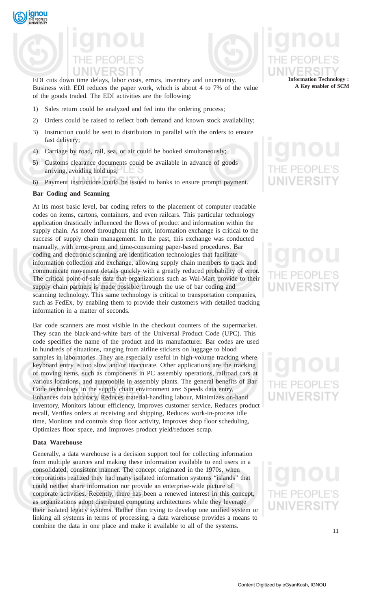

EDI cuts down time delays, labor costs, errors, inventory and uncertainty. Business with EDI reduces the paper work, which is about 4 to 7% of the value of the goods traded. The EDI activities are the following:

- 1) Sales return could be analyzed and fed into the ordering process;
- 2) Orders could be raised to reflect both demand and known stock availability;
- 3) Instruction could be sent to distributors in parallel with the orders to ensure fast delivery;
- 4) Carriage by road, rail, sea, or air could be booked simultaneously;
- 5) Customs clearance documents could be available in advance of goods arriving, avoiding hold ups;
- 6) Payment instructions could be issued to banks to ensure prompt payment.

### **Bar Coding and Scanning**

At its most basic level, bar coding refers to the placement of computer readable codes on items, cartons, containers, and even railcars. This particular technology application drastically influenced the flows of product and information within the supply chain. As noted throughout this unit, information exchange is critical to the success of supply chain management. In the past, this exchange was conducted manually, with error-prone and time-consuming paper-based procedures. Bar coding and electronic scanning are identification technologies that facilitate information collection and exchange, allowing supply chain members to track and communicate movement details quickly with a greatly reduced probability of error. The critical point-of-sale data that organizations such as Wal-Mart provide to their supply chain partners is made possible through the use of bar coding and scanning technology. This same technology is critical to transportation companies, such as FedEx, by enabling them to provide their customers with detailed tracking information in a matter of seconds.

Bar code scanners are most visible in the checkout counters of the supermarket. They scan the black-and-white bars of the Universal Product Code (UPC). This code specifies the name of the product and its manufacturer. Bar codes are used in hundreds of situations, ranging from airline stickers on luggage to blood samples in laboratories. They are especially useful in high-volume tracking where keyboard entry is too slow and/or inaccurate. Other applications are the tracking of moving items, such as components in PC assembly operations, railroad cars at various locations, and automobile in assembly plants. The general benefits of Bar Code technology in the supply chain environment are: Speeds data entry, Enhances data accuracy, Reduces material-handling labour, Minimizes on-hand inventory, Monitors labour efficiency, Improves customer service, Reduces product recall, Verifies orders at receiving and shipping, Reduces work-in-process idle time, Monitors and controls shop floor activity, Improves shop floor scheduling, Optimizes floor space, and Improves product yield/reduces scrap.

## **Data Warehouse**

Generally, a data warehouse is a decision support tool for collecting information from multiple sources and making these information available to end users in a consolidated, consistent manner. The concept originated in the 1970s, when corporations realized they had many isolated information systems "islands" that could neither share information nor provide an enterprise-wide picture of corporate activities. Recently, there has been a renewed interest in this concept, as organizations adopt distributed computing architectures while they leverage their isolated legacy systems. Rather than trying to develop one unified system or linking all systems in terms of processing, a data warehouse provides a means to combine the data in one place and make it available to all of the systems.



## **JNIVERS**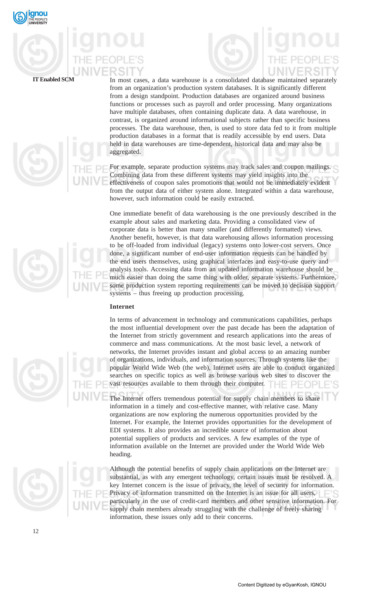







**IT Enabled SCM** In most cases, a data warehouse is a consolidated database maintained separately from an organization's production system databases. It is significantly different from a design standpoint. Production databases are organized around business functions or processes such as payroll and order processing. Many organizations have multiple databases, often containing duplicate data. A data warehouse, in contrast, is organized around informational subjects rather than specific business processes. The data warehouse, then, is used to store data fed to it from multiple production databases in a format that is readily accessible by end users. Data held in data warehouses are time-dependent, historical data and may also be aggregated.

> For example, separate production systems may track sales and coupon mailings. Combining data from these different systems may yield insights into the effectiveness of coupon sales promotions that would not be immediately evident from the output data of either system alone. Integrated within a data warehouse, however, such information could be easily extracted.

One immediate benefit of data warehousing is the one previously described in the example about sales and marketing data. Providing a consolidated view of corporate data is better than many smaller (and differently formatted) views. Another benefit, however, is that data warehousing allows information processing to be off-loaded from individual (legacy) systems onto lower-cost servers. Once done, a significant number of end-user information requests can be handled by the end users themselves, using graphical interfaces and easy-to-use query and analysis tools. Accessing data from an updated information warehouse should be much easier than doing the same thing with older, separate systems. Furthermore, some production system reporting requirements can be moved to decision support systems – thus freeing up production processing.

### **Internet**

In terms of advancement in technology and communications capabilities, perhaps the most influential development over the past decade has been the adaptation of the Internet from strictly government and research applications into the areas of commerce and mass communications. At the most basic level, a network of networks, the Internet provides instant and global access to an amazing number of organizations, individuals, and information sources. Through systems like the popular World Wide Web (the web), Internet users are able to conduct organized searches on specific topics as well as browse various web sites to discover the vast resources available to them through their computer.  $\Box$ 

The Internet offers tremendous potential for supply chain members to share information in a timely and cost-effective manner, with relative case. Many organizations are now exploring the numerous opportunities provided by the Internet. For example, the Internet provides opportunities for the development of EDI systems. It also provides an incredible source of information about potential suppliers of products and services. A few examples of the type of information available on the Internet are provided under the World Wide Web heading.

Although the potential benefits of supply chain applications on the Internet are substantial, as with any emergent technology, certain issues must be resolved. A key Internet concern is the issue of privacy, the level of security for information. Privacy of information transmitted on the Internet is an issue for all users, particularly in the use of credit-card members and other sensitive information. For supply chain members already struggling with the challenge of freely sharing information, these issues only add to their concerns.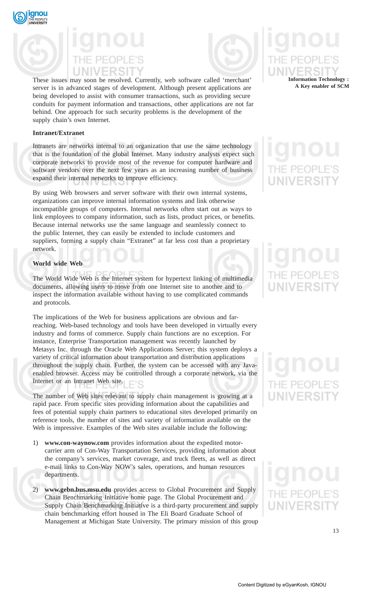



These issues may soon be resolved. Currently, web software called 'merchant' server is in advanced stages of development. Although present applications are being developed to assist with consumer transactions, such as providing secure conduits for payment information and transactions, other applications are not far behind. One approach for such security problems is the development of the supply chain's own Internet.

## **Intranet/Extranet**

Intranets are networks internal to an organization that use the same technology that is the foundation of the global Internet. Many industry analysts expect such corporate networks to provide most of the revenue for computer hardware and software vendors over the next few years as an increasing number of business expand their internal networks to improve efficiency.

By using Web browsers and server software with their own internal systems, organizations can improve internal information systems and link otherwise incompatible groups of computers. Internal networks often start out as ways to link employees to company information, such as lists, product prices, or benefits. Because internal networks use the same language and seamlessly connect to the public Internet, they can easily be extended to include customers and suppliers, forming a supply chain "Extranet" at far less cost than a proprietary network.

## **World wide Web**

The World Wide Web is the Internet system for hypertext linking of multimedia documents, allowing users to move from one Internet site to another and to inspect the information available without having to use complicated commands and protocols.

The implications of the Web for business applications are obvious and farreaching. Web-based technology and tools have been developed in virtually every industry and forms of commerce. Supply chain functions are no exception. For instance, Enterprise Transportation management was recently launched by Metasys Inc. through the Oracle Web Applications Server; this system deploys a variety of critical information about transportation and distribution applications throughout the supply chain. Further, the system can be accessed with any Javaenabled browser. Access may be controlled through a corporate network, via the Internet or an Intranet Web site. ΓC

The number of Web sites relevant to supply chain management is growing at a rapid pace. From specific sites providing information about the capabilities and fees of potential supply chain partners to educational sites developed primarily on reference tools, the number of sites and variety of information available on the Web is impressive. Examples of the Web sites available include the following:

- 1) **www.con-waynow.com** provides information about the expedited motorcarrier arm of Con-Way Transportation Services, providing information about the company's services, market coverage, and truck fleets, as well as direct e-mail links to Con-Way NOW's sales, operations, and human resources departments.
- 2) **www.gebn.bus.msu.edu** provides access to Global Procurement and Supply Chain Benchmarking Initiative home page. The Global Procurement and Supply Chain Benchmarking Initiative is a third-party procurement and supply chain benchmarking effort housed in The Eli Board Graduate School of Management at Michigan State University. The primary mission of this group

## **Information Technology : A Key enabler of SCM**

## JNIVERSI

# $FPT$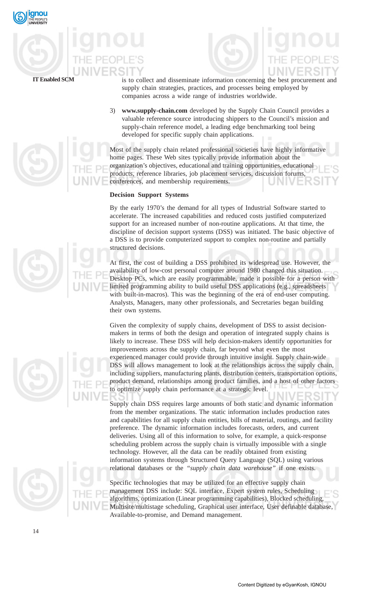

**IT Enabled SCM** is to collect and disseminate information concerning the best procurement and supply chain strategies, practices, and processes being employed by companies across a wide range of industries worldwide.

> 3) **www.supply-chain.com** developed by the Supply Chain Council provides a valuable reference source introducing shippers to the Council's mission and supply-chain reference model, a leading edge benchmarking tool being developed for specific supply chain applications.

Most of the supply chain related professional societies have highly informative home pages. These Web sites typically provide information about the organization's objectives, educational and training opportunities, educational products, reference libraries, job placement services, discussion forums, conferences, and membership requirements.

## **Decision Support Systems**

By the early 1970's the demand for all types of Industrial Software started to accelerate. The increased capabilities and reduced costs justified computerized support for an increased number of non-routine applications. At that time, the discipline of decision support systems (DSS) was initiated. The basic objective of a DSS is to provide computerized support to complex non-routine and partially structured decisions.

At first, the cost of building a DSS prohibited its widespread use. However, the availability of low-cost personal computer around 1980 changed this situation. Desktop PCs, which are easily programmable, made it possible for a person with limited programming ability to build useful DSS applications (e.g., spreadsheets with built-in-macros). This was the beginning of the era of end-user computing. Analysts, Managers, many other professionals, and Secretaries began building their own systems.

Given the complexity of supply chains, development of DSS to assist decisionmakers in terms of both the design and operation of integrated supply chains is likely to increase. These DSS will help decision-makers identify opportunities for improvements across the supply chain, far beyond what even the most experienced manager could provide through intuitive insight. Supply chain-wide DSS will allows management to look at the relationships across the supply chain, including suppliers, manufacturing plants, distribution centers, transportation options, product demand, relationships among product families, and a host of other factors to optimize supply chain performance at a strategic level.

Supply chain DSS requires large amounts of both static and dynamic information from the member organizations. The static information includes production rates and capabilities for all supply chain entities, bills of material, routings, and facility preference. The dynamic information includes forecasts, orders, and current deliveries. Using all of this information to solve, for example, a quick-response scheduling problem across the supply chain is virtually impossible with a single technology. However, all the data can be readily obtained from existing information systems through Structured Query Language (SQL) using various relational databases or the *"supply chain data warehouse"* if one exists.

Specific technologies that may be utilized for an effective supply chain management DSS include: SQL interface, Expert system rules, Scheduling algorithms, optimization (Linear programming capabilities), Blocked scheduling, Multisite/multistage scheduling, Graphical user interface, User definable database, Available-to-promise, and Demand management.





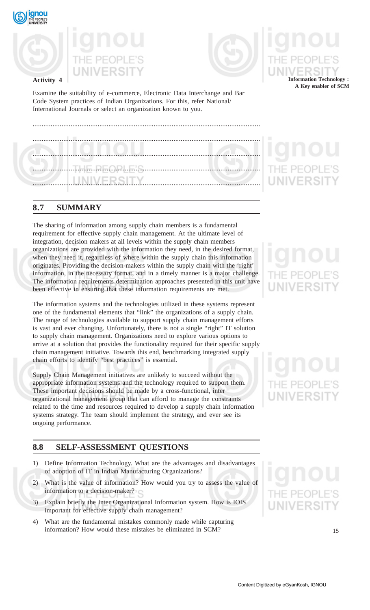

**Activity 4**





Examine the suitability of e-commerce, Electronic Data Interchange and Bar Code System practices of Indian Organizations. For this, refer National/ International Journals or select an organization known to you.

## **8.7 SUMMARY**

The sharing of information among supply chain members is a fundamental requirement for effective supply chain management. At the ultimate level of integration, decision makers at all levels within the supply chain members organizations are provided with the information they need, in the desired format, when they need it, regardless of where within the supply chain this information originates. Providing the decision-makers within the supply chain with the 'right' information, in the necessary format, and in a timely manner is a major challenge. The information requirements determination approaches presented in this unit have been effective in ensuring that these information requirements are met.

The information systems and the technologies utilized in these systems represent one of the fundamental elements that "link" the organizations of a supply chain. The range of technologies available to support supply chain management efforts is vast and ever changing. Unfortunately, there is not a single "right" IT solution to supply chain management. Organizations need to explore various options to arrive at a solution that provides the functionality required for their specific supply chain management initiative. Towards this end, benchmarking integrated supply chain efforts to identify "best practices" is essential.

Supply Chain Management initiatives are unlikely to succeed without the appropriate information systems and the technology required to support them. These important decisions should be made by a cross-functional, inter organizational management group that can afford to manage the constraints related to the time and resources required to develop a supply chain information systems strategy. The team should implement the strategy, and ever see its ongoing performance.

## **8.8 SELF-ASSESSMENT QUESTIONS**

- 1) Define Information Technology. What are the advantages and disadvantages of adoption of IT in Indian Manufacturing Organizations?
- 2) What is the value of information? How would you try to assess the value of information to a decision-maker?
- 3) Explain briefly the Inter Organizational Information system. How is IOIS important for effective supply chain management?
- 4) What are the fundamental mistakes commonly made while capturing information? How would these mistakes be eliminated in SCM?

**Information Technology : A Key enabler of SCM**

## **JNIVERSI**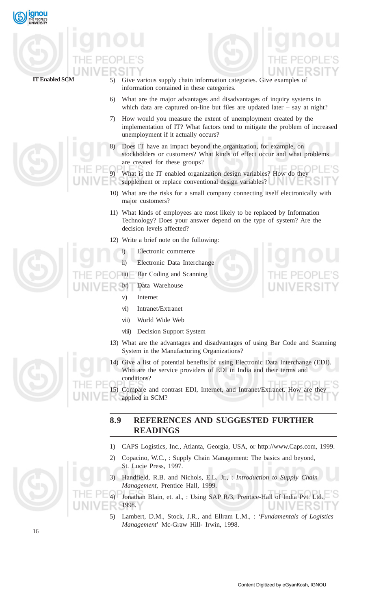

- 
- **IT Enabled SCM** 5) Give various supply chain information categories. Give examples of information contained in these categories.
	- 6) What are the major advantages and disadvantages of inquiry systems in which data are captured on-line but files are updated later – say at night?
	- 7) How would you measure the extent of unemployment created by the implementation of IT? What factors tend to mitigate the problem of increased unemployment if it actually occurs?
	- 8) Does IT have an impact beyond the organization, for example, on stockholders or customers? What kinds of effect occur and what problems are created for these groups?
	- What is the IT enabled organization design variables? How do they supplement or replace conventional design variables?
	- 10) What are the risks for a small company connecting itself electronically with major customers?
	- 11) What kinds of employees are most likely to be replaced by Information Technology? Does your answer depend on the type of system? Are the decision levels affected?
	- 12) Write a brief note on the following:
	- Electronic commerce
		- ii) Electronic Data Interchange
		- iii) Bar Coding and Scanning
	- iv) Data Warehouse
		- v) Internet
		- vi) Intranet/Extranet
		- vii) World Wide Web
		- viii) Decision Support System
		- 13) What are the advantages and disadvantages of using Bar Code and Scanning System in the Manufacturing Organizations?
		- 14) Give a list of potential benefits of using Electronic Data Interchange (EDI). Who are the service providers of EDI in India and their terms and conditions?

15) Compare and contrast EDI, Internet, and Intranet/Extranet. How are they applied in SCM?

## **8.9 REFERENCES AND SUGGESTED FURTHER READINGS**

- 1) CAPS Logistics, Inc., Atlanta, Georgia, USA, or http://www.Caps.com, 1999.
- 2) Copacino, W.C., : Supply Chain Management: The basics and beyond, St. Lucie Press, 1997.
- 3) Handfield, R.B. and Nichols, E.L. Jr., : *Introduction to Supply Chain Management*, Prentice Hall, 1999.



5) Lambert, D.M., Stock, J.R., and Ellram L.M., : '*Fundamentals of Logistics Management*' Mc-Graw Hill- Irwin, 1998.